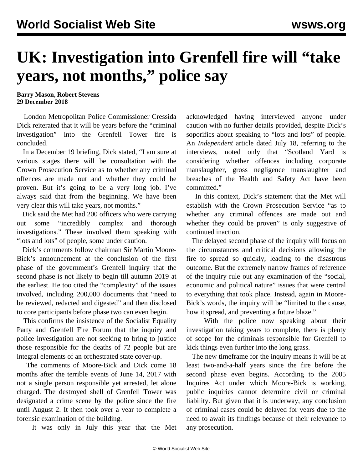## **UK: Investigation into Grenfell fire will "take years, not months," police say**

**Barry Mason, Robert Stevens 29 December 2018**

 London Metropolitan Police Commissioner Cressida Dick reiterated that it will be years before the "criminal investigation" into the Grenfell Tower fire is concluded.

 In a December 19 briefing, Dick stated, "I am sure at various stages there will be consultation with the Crown Prosecution Service as to whether any criminal offences are made out and whether they could be proven. But it's going to be a very long job. I've always said that from the beginning. We have been very clear this will take years, not months."

 Dick said the Met had 200 officers who were carrying out some "incredibly complex and thorough investigations." These involved them speaking with "lots and lots" of people, some under caution.

 Dick's comments follow chairman Sir Martin Moore-Bick's announcement at the conclusion of the first phase of the government's Grenfell inquiry that the second phase is not likely to begin till autumn 2019 at the earliest. He too cited the "complexity" of the issues involved, including 200,000 documents that "need to be reviewed, redacted and digested" and then disclosed to core participants before phase two can even begin.

 This confirms the insistence of the Socialist Equality Party and Grenfell Fire Forum that the inquiry and police investigation are not seeking to bring to justice those responsible for the deaths of 72 people but are integral elements of an orchestrated state cover-up.

 The comments of Moore-Bick and Dick come 18 months after the terrible events of June 14, 2017 with not a single person responsible yet arrested, let alone charged. The destroyed shell of Grenfell Tower was designated a crime scene by the police since the fire until August 2. It then took over a year to complete a forensic examination of the building.

It was only in July this year that the Met

acknowledged having interviewed anyone under caution with no further details provided, despite Dick's soporifics about speaking to "lots and lots" of people. An *Independent* article dated July 18, referring to the interviews, noted only that "Scotland Yard is considering whether offences including corporate manslaughter, gross negligence manslaughter and breaches of the Health and Safety Act have been committed."

 In this context, Dick's statement that the Met will establish with the Crown Prosecution Service "as to whether any criminal offences are made out and whether they could be proven" is only suggestive of continued inaction.

 The delayed second phase of the inquiry will focus on the circumstances and critical decisions allowing the fire to spread so quickly, leading to the disastrous outcome. But the extremely narrow frames of reference of the inquiry rule out any examination of the "social, economic and political nature" issues that were central to everything that took place. Instead, again in Moore-Bick's words, the inquiry will be "limited to the cause, how it spread, and preventing a future blaze."

 With the police now speaking about their investigation taking years to complete, there is plenty of scope for the criminals responsible for Grenfell to kick things even further into the long grass.

 The new timeframe for the inquiry means it will be at least two-and-a-half years since the fire before the second phase even begins. According to the 2005 Inquires Act under which Moore-Bick is working, public inquiries cannot determine civil or criminal liability. But given that it is underway, any conclusion of criminal cases could be delayed for years due to the need to await its findings because of their relevance to any prosecution.